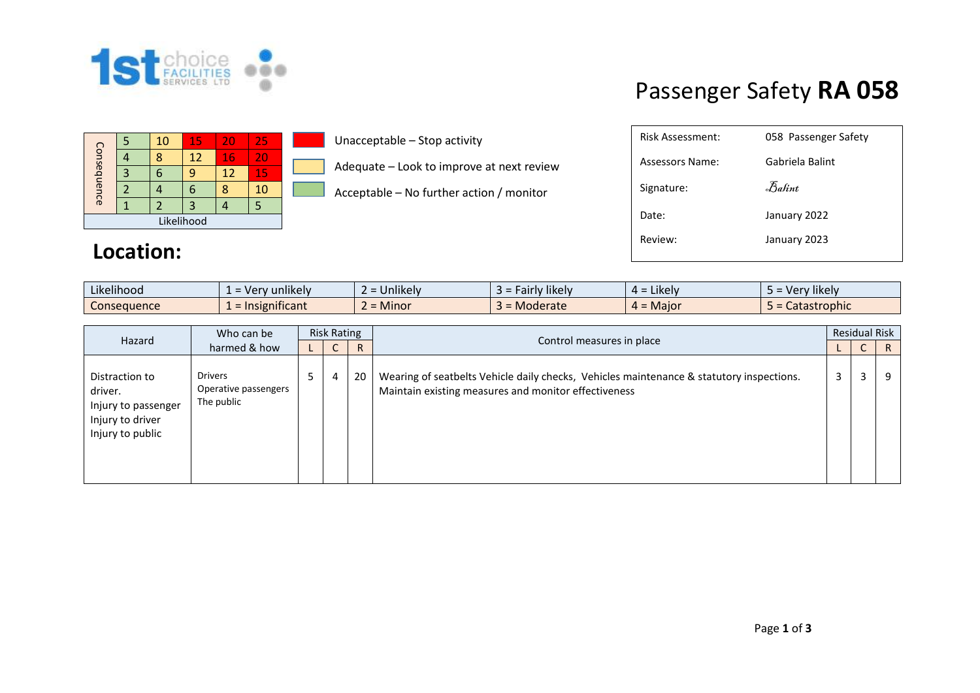

## Passenger Safety **RA 058**

|             |  | 10 | 15 | 20 | 25 |  |  |  |
|-------------|--|----|----|----|----|--|--|--|
| Consequence |  | ጻ  | 12 | 16 | 20 |  |  |  |
|             |  |    |    | 12 | 15 |  |  |  |
|             |  |    | 6  |    | 10 |  |  |  |
|             |  |    | 3  |    |    |  |  |  |
| Likelihood  |  |    |    |    |    |  |  |  |

## **Location:**

Unacceptable – Stop activity

Adequate – Look to improve at next review

Acceptable – No further action / monitor

| Risk Assessment: | 058 Passenger Safety           |
|------------------|--------------------------------|
| Assessors Name:  | Gabriela Balint                |
| Signature:       | $\mathcal{F}_{\mathit{abint}}$ |
| Date:            | January 2022                   |
| Review:          | January 2023                   |
|                  |                                |

| Likelihood  | $\cdots$<br>Very unlikely                 | <b>Jnlikely</b> | $\cdots$<br>Fairly likely | $\cdot$ $\cdot$ $\cdot$<br>$4 =$ Likely | $\cdots$<br>Nery likely |
|-------------|-------------------------------------------|-----------------|---------------------------|-----------------------------------------|-------------------------|
| Conseauence | $\cdot$ $\cdot$<br><u>: Insignificant</u> | <b>Minor</b>    | <b>Moderate</b>           | $4 =$ Major                             | Catastrophic            |

| Hazard                                                                                   | Who can be                                           | <b>Risk Rating</b> |   |    |                                                                                                                                                  | <b>Residual Risk</b> |   |              |
|------------------------------------------------------------------------------------------|------------------------------------------------------|--------------------|---|----|--------------------------------------------------------------------------------------------------------------------------------------------------|----------------------|---|--------------|
|                                                                                          | harmed & how                                         |                    | ◡ | R. | Control measures in place                                                                                                                        |                      | ◡ | $\mathsf{R}$ |
| Distraction to<br>driver.<br>Injury to passenger<br>Injury to driver<br>Injury to public | <b>Drivers</b><br>Operative passengers<br>The public | ל                  | 4 | 20 | Wearing of seatbelts Vehicle daily checks, Vehicles maintenance & statutory inspections.<br>Maintain existing measures and monitor effectiveness | 3                    | 3 | 9            |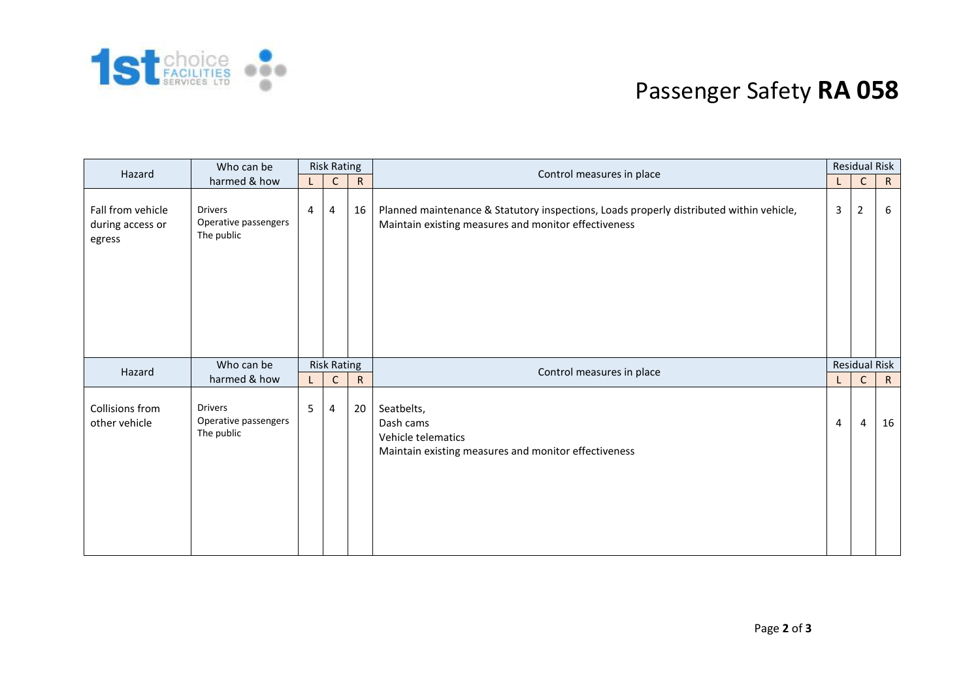

## Passenger Safety **RA 058**

| Hazard                                          | Who can be                                           | <b>Risk Rating</b> |              |              | Control measures in place                                                                                                                       | <b>Residual Risk</b> |                      |              |
|-------------------------------------------------|------------------------------------------------------|--------------------|--------------|--------------|-------------------------------------------------------------------------------------------------------------------------------------------------|----------------------|----------------------|--------------|
| harmed & how                                    |                                                      | L                  | $\mathsf{C}$ | $\mathsf{R}$ |                                                                                                                                                 | L.                   | $\mathsf{C}$         | $\mathsf{R}$ |
| Fall from vehicle<br>during access or<br>egress | <b>Drivers</b><br>Operative passengers<br>The public | 4                  | 4            | 16           | Planned maintenance & Statutory inspections, Loads properly distributed within vehicle,<br>Maintain existing measures and monitor effectiveness | 3                    | $\overline{2}$       | -6           |
| Hazard                                          | Who can be                                           | <b>Risk Rating</b> |              |              | Control measures in place                                                                                                                       |                      | <b>Residual Risk</b> |              |
|                                                 | harmed & how                                         | L.                 | $\mathsf{C}$ | $\mathsf{R}$ |                                                                                                                                                 |                      |                      |              |
| Collisions from<br>other vehicle                | <b>Drivers</b><br>Operative passengers<br>The public | 5                  | 4            | 20           | Seatbelts,<br>Dash cams<br>Vehicle telematics<br>Maintain existing measures and monitor effectiveness                                           | 4                    | $\overline{4}$       | 16           |